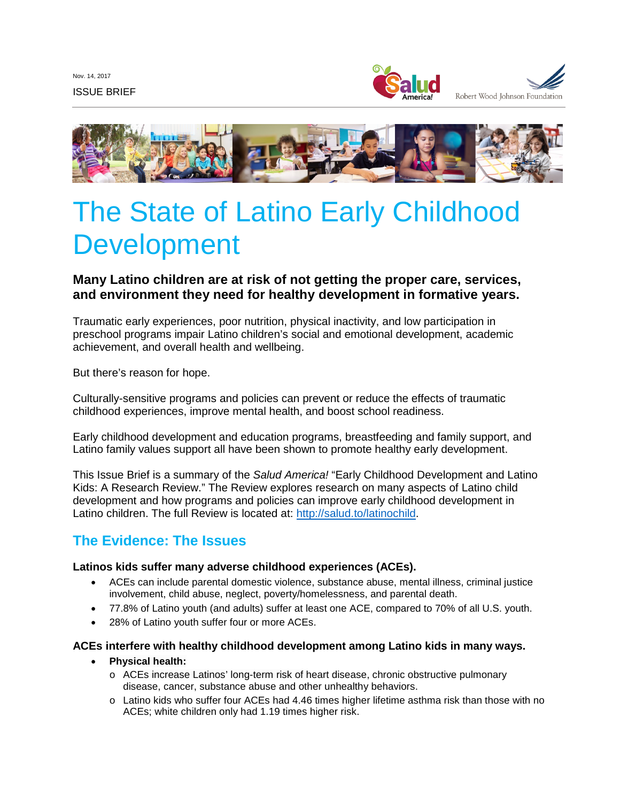Nov. 14, 2017 ISSUE BRIEF





# The State of Latino Early Childhood Development

# **Many Latino children are at risk of not getting the proper care, services, and environment they need for healthy development in formative years.**

Traumatic early experiences, poor nutrition, physical inactivity, and low participation in preschool programs impair Latino children's social and emotional development, academic achievement, and overall health and wellbeing.

But there's reason for hope.

Culturally-sensitive programs and policies can prevent or reduce the effects of traumatic childhood experiences, improve mental health, and boost school readiness.

Early childhood development and education programs, breastfeeding and family support, and Latino family values support all have been shown to promote healthy early development.

This Issue Brief is a summary of the *Salud America!* "Early Childhood Development and Latino Kids: A Research Review." The Review explores research on many aspects of Latino child development and how programs and policies can improve early childhood development in Latino children. The full Review is located at: [http://salud.to/latinochild.](http://salud.to/latinochild)

# **The Evidence: The Issues**

#### **Latinos kids suffer many adverse childhood experiences (ACEs).**

- ACEs can include parental domestic violence, substance abuse, mental illness, criminal justice involvement, child abuse, neglect, poverty/homelessness, and parental death.
- 77.8% of Latino youth (and adults) suffer at least one ACE, compared to 70% of all U.S. youth.
- 28% of Latino youth suffer four or more ACEs.

#### **ACEs interfere with healthy childhood development among Latino kids in many ways.**

- **Physical health:**
	- o ACEs increase Latinos' long-term risk of heart disease, chronic obstructive pulmonary disease, cancer, substance abuse and other unhealthy behaviors.
	- o Latino kids who suffer four ACEs had 4.46 times higher lifetime asthma risk than those with no ACEs; white children only had 1.19 times higher risk.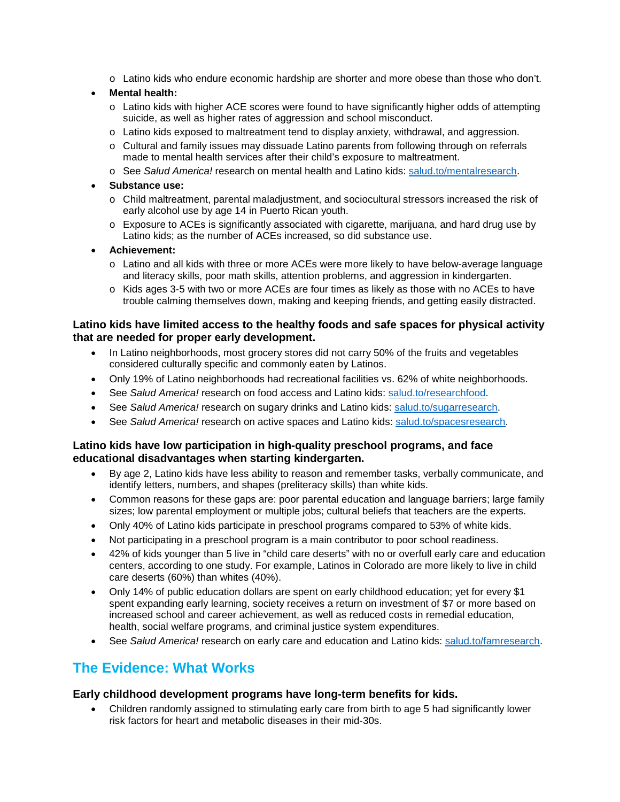o Latino kids who endure economic hardship are shorter and more obese than those who don't.

#### • **Mental health:**

- o Latino kids with higher ACE scores were found to have significantly higher odds of attempting suicide, as well as higher rates of aggression and school misconduct.
- o Latino kids exposed to maltreatment tend to display anxiety, withdrawal, and aggression.
- o Cultural and family issues may dissuade Latino parents from following through on referrals made to mental health services after their child's exposure to maltreatment.
- o See *Salud America!* research on mental health and Latino kids: [salud.to/mentalresearch.](http://salud.to/mentalresearch)

#### • **Substance use:**

- o Child maltreatment, parental maladjustment, and sociocultural stressors increased the risk of early alcohol use by age 14 in Puerto Rican youth.
- $\circ$  Exposure to ACEs is significantly associated with cigarette, marijuana, and hard drug use by Latino kids; as the number of ACEs increased, so did substance use.
- **Achievement:**
	- o Latino and all kids with three or more ACEs were more likely to have below-average language and literacy skills, poor math skills, attention problems, and aggression in kindergarten.
	- o Kids ages 3-5 with two or more ACEs are four times as likely as those with no ACEs to have trouble calming themselves down, making and keeping friends, and getting easily distracted.

#### **Latino kids have limited access to the healthy foods and safe spaces for physical activity that are needed for proper early development.**

- In Latino neighborhoods, most grocery stores did not carry 50% of the fruits and vegetables considered culturally specific and commonly eaten by Latinos.
- Only 19% of Latino neighborhoods had recreational facilities vs. 62% of white neighborhoods.
- See *Salud America!* research on food access and Latino kids: [salud.to/researchfood.](http://salud.to/researchfood)
- See *Salud America!* research on sugary drinks and Latino kids: [salud.to/sugarresearch.](http://salud.to/sugarresearch)
- See *Salud America!* research on active spaces and Latino kids: [salud.to/spacesresearch.](http://salud.to/spacesresearch)

#### **Latino kids have low participation in high-quality preschool programs, and face educational disadvantages when starting kindergarten.**

- By age 2, Latino kids have less ability to reason and remember tasks, verbally communicate, and identify letters, numbers, and shapes (preliteracy skills) than white kids.
- Common reasons for these gaps are: poor parental education and language barriers; large family sizes; low parental employment or multiple jobs; cultural beliefs that teachers are the experts.
- Only 40% of Latino kids participate in preschool programs compared to 53% of white kids.
- Not participating in a preschool program is a main contributor to poor school readiness.
- 42% of kids younger than 5 live in "child care deserts" with no or overfull early care and education centers, according to one study. For example, Latinos in Colorado are more likely to live in child care deserts (60%) than whites (40%).
- Only 14% of public education dollars are spent on early childhood education; yet for every \$1 spent expanding early learning, society receives a return on investment of \$7 or more based on increased school and career achievement, as well as reduced costs in remedial education, health, social welfare programs, and criminal justice system expenditures.
- See *Salud America!* research on early care and education and Latino kids: [salud.to/famresearch.](http://salud.to/famresearch)

# **The Evidence: What Works**

#### **Early childhood development programs have long-term benefits for kids.**

• Children randomly assigned to stimulating early care from birth to age 5 had significantly lower risk factors for heart and metabolic diseases in their mid-30s.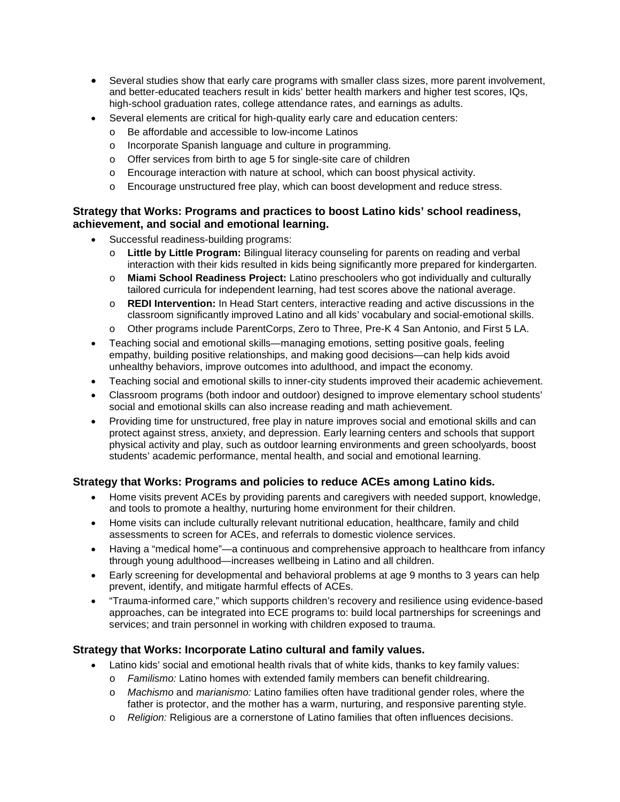- Several studies show that early care programs with smaller class sizes, more parent involvement, and better-educated teachers result in kids' better health markers and higher test scores, IQs, high-school graduation rates, college attendance rates, and earnings as adults.
- Several elements are critical for high-quality early care and education centers:
	- o Be affordable and accessible to low-income Latinos
	- o Incorporate Spanish language and culture in programming.
	- o Offer services from birth to age 5 for single-site care of children
	- o Encourage interaction with nature at school, which can boost physical activity.
	- o Encourage unstructured free play, which can boost development and reduce stress.

# **Strategy that Works: Programs and practices to boost Latino kids' school readiness, achievement, and social and emotional learning.**

- Successful readiness-building programs:
	- o **Little by Little Program:** Bilingual literacy counseling for parents on reading and verbal interaction with their kids resulted in kids being significantly more prepared for kindergarten.
	- o **Miami School Readiness Project:** Latino preschoolers who got individually and culturally tailored curricula for independent learning, had test scores above the national average.
	- o **REDI Intervention:** In Head Start centers, interactive reading and active discussions in the classroom significantly improved Latino and all kids' vocabulary and social-emotional skills.
	- o Other programs include ParentCorps, Zero to Three, Pre-K 4 San Antonio, and First 5 LA.
- Teaching social and emotional skills—managing emotions, setting positive goals, feeling empathy, building positive relationships, and making good decisions—can help kids avoid unhealthy behaviors, improve outcomes into adulthood, and impact the economy.
- Teaching social and emotional skills to inner-city students improved their academic achievement.
- Classroom programs (both indoor and outdoor) designed to improve elementary school students' social and emotional skills can also increase reading and math achievement.
- Providing time for unstructured, free play in nature improves social and emotional skills and can protect against stress, anxiety, and depression. Early learning centers and schools that support physical activity and play, such as outdoor learning environments and green schoolyards, boost students' academic performance, mental health, and social and emotional learning.

# **Strategy that Works: Programs and policies to reduce ACEs among Latino kids.**

- Home visits prevent ACEs by providing parents and caregivers with needed support, knowledge, and tools to promote a healthy, nurturing home environment for their children.
- Home visits can include culturally relevant nutritional education, healthcare, family and child assessments to screen for ACEs, and referrals to domestic violence services.
- Having a "medical home"—a continuous and comprehensive approach to healthcare from infancy through young adulthood—increases wellbeing in Latino and all children.
- Early screening for developmental and behavioral problems at age 9 months to 3 years can help prevent, identify, and mitigate harmful effects of ACEs.
- "Trauma-informed care," which supports children's recovery and resilience using evidence-based approaches, can be integrated into ECE programs to: build local partnerships for screenings and services; and train personnel in working with children exposed to trauma.

# **Strategy that Works: Incorporate Latino cultural and family values.**

- Latino kids' social and emotional health rivals that of white kids, thanks to key family values:
	- o *Familismo:* Latino homes with extended family members can benefit childrearing.
	- o *Machismo* and *marianismo:* Latino families often have traditional gender roles, where the father is protector, and the mother has a warm, nurturing, and responsive parenting style.
	- o *Religion:* Religious are a cornerstone of Latino families that often influences decisions.